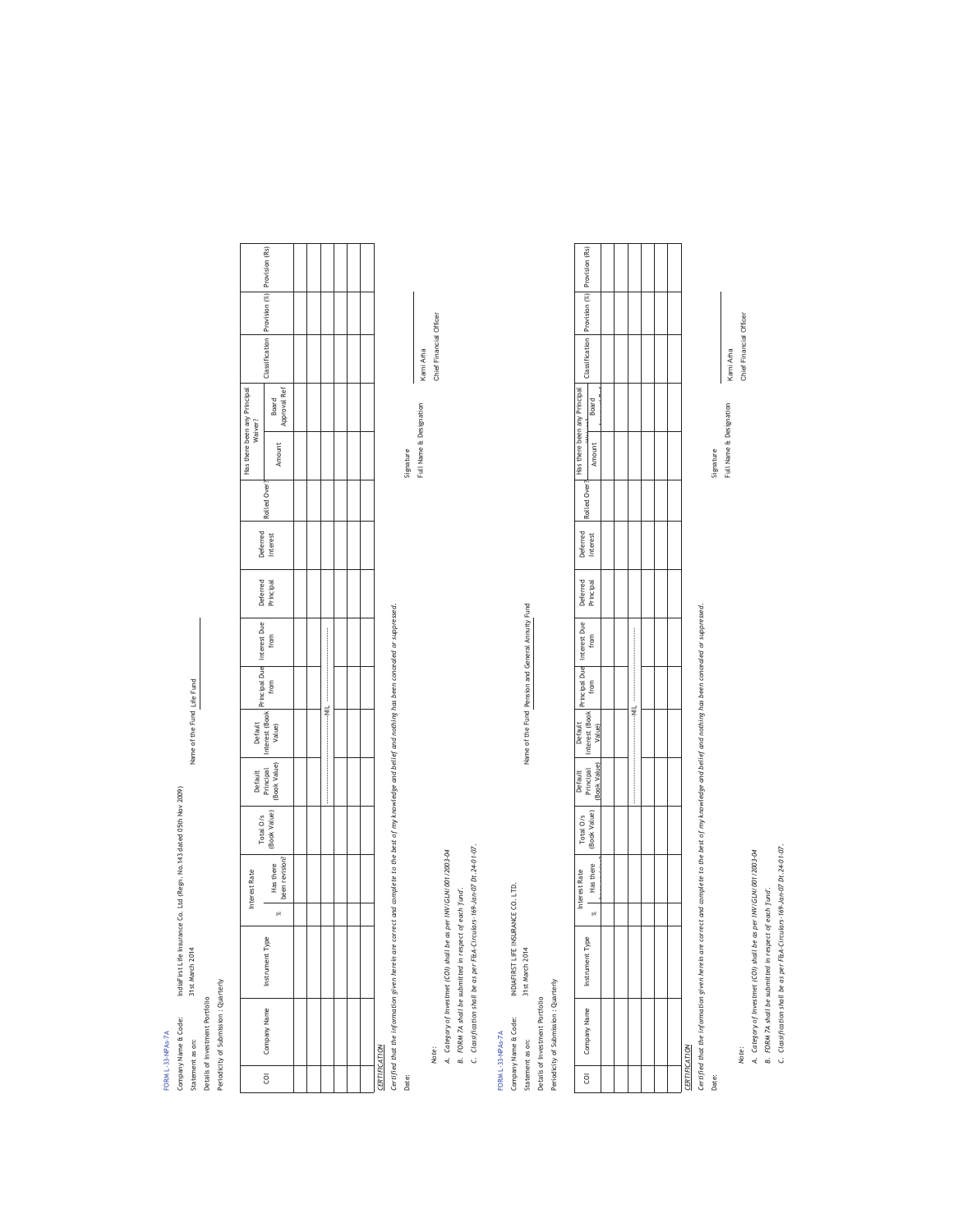Statement as on:  $31$ st March 2014  $\frac{31}{31}$ t March 2014 IndiaFirst Life Insurance Co. Ltd (Regn. No.143 dated O5th Nov 2009)<br>31st March 2014 Company Name & Code: IndiaFirst Life Insurance Co. Ltd (Regn. No.143 dated 05th Nov 2009) Periodicity of Submission : Quarterly Periodicity of Submission : Quarterly Details of Investment Portfolio Details of Investment Portfolio Company Name & Code: FORM L-33-NPAs-7A FORM L-33-NPAs-7A Statement as on:

Name of the Fund Life Fund Name of the Fund

Interest Rolled Over? Roard Classification Provision (%) Provision (Rs)<br>Roard Has there been any Principal<br>Waiver? Has there been any Principal Has there been revision? Amount Board Approval Ref Amount Rolled Over Deferred<br>Interest Deferred Principal Interest Due Interest Due Principal Due Principal Due Interest (Book Default<br>rest (Bo<br>Value) Default Principal (Book Value) Total O/s (Book Value) Has there<br>been revision? Interest Rate  $\frac{1}{2}$ %Instrument Type COI Company Name Instrument Type Company Name  $\overline{\texttt{S}}$ 

Classification Provision (%)

Classification

Board<br>Approval Ref

Provision (%) Provision (Rs)

------------------------------------NIL ------------------------------

 $\equiv$ 

<u>CERTIFICATION</u><br>Certified that the information given herein are correct and complete to the best of my knowledge and belief and nothing has been concealed or suppressed.<br>Date: *Certified that the information given herein are correct and complete to the best of my knowledge and belief and nothing has been concealed or suppressed.*

Note:

A. Category of Investmet (COI) shall be as per INV/GLN/001/2003-04 *A. Category of Investmet (COI) shall be as per INV/GLN/001/2003-04*

B. FORM 7A shall be submitted in respect of each 'fund'. *B. FORM 7A shall be submitted in respect of each 'fund'.*

C. Classification shall be as per F&A-Circulars-169-Jan-07 Dt.24-01-07. *C. Classification shall be as per F&A-Circulars-169-Jan-07 Dt.24-01-07.*

FORM L-33-NPAs-7A FORM L-33-NPAs-7A

Statement as on: 31st March 2014 Annuity Fund<br>Statement as on: Company Name & Code: NOIAFIRST LIFE INSURANCE CO. LTD.<br>Statement as on: 31st March 2014 Company Name & Code: INDIAFIRST LIFE INSURANCE CO. LTD. Periodicity of Submission: Quarterly Periodicity of Submission : Quarterly Details of Investment Portfolio Details of Investment Portfolio

 $\overline{e}$ 

Name of the Fund Pension and General Annuity Fund Name of the Fund

Rolled Over? Has there been any Principal Principal Due from Interest Due from Deferred Principal Deferred Interest Rolled Over?Deferred<br>Interest Deferred<br>Principal ã Interest (Book Default<br>rest (Bc<br>Value) Default Principal (Book Value) Total O/s<br>(Book Value) Interest Rate Total O/s been revision? % Has there Interest Rate Instrument Type COI Company Name Instrument Type Company Name

------------------------------------NIL ------------------------------

Amount Board  $\overline{\phantom{a}}$ 

Amount

Board

Water Classification Provision (%) Provision (Rs)

Classification

Provision (%) Provision (Rs)

Has there been any Principal

<u>CERTIFICATION</u><br>Certified that the information given herein are carrect and complete to the best of my knowledge and belief and nothing has been concealed or suppressed. *Certified that the information given herein are correct and complete to the best of my knowledge and belief and nothing has been concealed or suppressed.* Date:

*Note:* Chief Financial Officer Note:

A. Category of Investmet (COI) shall be as per INV/GLN/001/2003-04 *A. Category of Investmet (COI) shall be as per INV/GLN/001/2003-04*

Full Name & Designation Signature Date: Signature

Full Name & Designation Karni Arha

Chief Financial Officer Karni Arha

*B. FORM 7A shall be submitted in respect of each 'fund'.*

B. FORM 7A shall be submitted in respect of each 'fund'.<br>C. Classification shall be as per F&A-Circulars-169-Jan-07 Dt.24-01-07. *C. Classification shall be as per F&A-Circulars-169-Jan-07 Dt.24-01-07.*

Karni Arha Full Name & Designation Karni Arha Full Name & Designation Signature Date: Signature

Chief Financial Officer *Note:* Chief Financial Officer